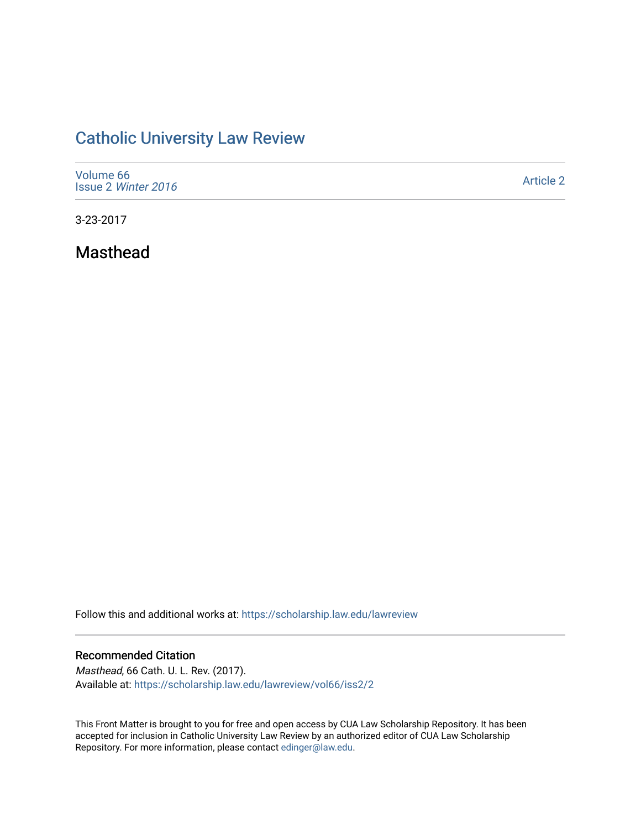# [Catholic University Law Review](https://scholarship.law.edu/lawreview)

| Volume 66<br>Issue 2 Winter 2016 | <b>Article 2</b> |
|----------------------------------|------------------|
|----------------------------------|------------------|

3-23-2017

Masthead

Follow this and additional works at: [https://scholarship.law.edu/lawreview](https://scholarship.law.edu/lawreview?utm_source=scholarship.law.edu%2Flawreview%2Fvol66%2Fiss2%2F2&utm_medium=PDF&utm_campaign=PDFCoverPages)

### Recommended Citation

Masthead, 66 Cath. U. L. Rev. (2017). Available at: [https://scholarship.law.edu/lawreview/vol66/iss2/2](https://scholarship.law.edu/lawreview/vol66/iss2/2?utm_source=scholarship.law.edu%2Flawreview%2Fvol66%2Fiss2%2F2&utm_medium=PDF&utm_campaign=PDFCoverPages)

This Front Matter is brought to you for free and open access by CUA Law Scholarship Repository. It has been accepted for inclusion in Catholic University Law Review by an authorized editor of CUA Law Scholarship Repository. For more information, please contact [edinger@law.edu.](mailto:edinger@law.edu)